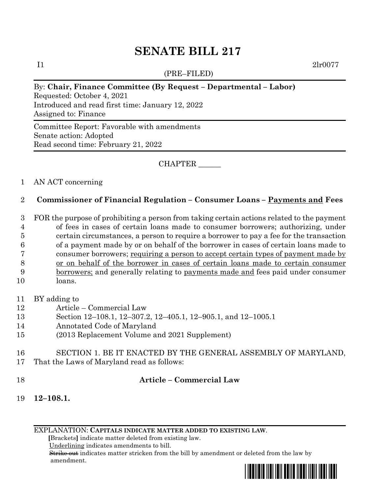(PRE–FILED)

 $I1$   $2lr0077$ 

#### By: **Chair, Finance Committee (By Request – Departmental – Labor)**

Requested: October 4, 2021 Introduced and read first time: January 12, 2022 Assigned to: Finance

Committee Report: Favorable with amendments Senate action: Adopted Read second time: February 21, 2022

CHAPTER \_\_\_\_\_\_

#### 1 AN ACT concerning

#### 2 **Commissioner of Financial Regulation – Consumer Loans – Payments and Fees**

 FOR the purpose of prohibiting a person from taking certain actions related to the payment of fees in cases of certain loans made to consumer borrowers; authorizing, under certain circumstances, a person to require a borrower to pay a fee for the transaction of a payment made by or on behalf of the borrower in cases of certain loans made to consumer borrowers; requiring a person to accept certain types of payment made by or on behalf of the borrower in cases of certain loans made to certain consumer borrowers; and generally relating to payments made and fees paid under consumer 10 loans.

- 11 BY adding to
- 12 Article Commercial Law
- 13 Section 12–108.1, 12–307.2, 12–405.1, 12–905.1, and 12–1005.1
- 14 Annotated Code of Maryland
- 15 (2013 Replacement Volume and 2021 Supplement)
- 16 SECTION 1. BE IT ENACTED BY THE GENERAL ASSEMBLY OF MARYLAND, 17 That the Laws of Maryland read as follows:
- 

### 18 **Article – Commercial Law**

19 **12–108.1.**

EXPLANATION: **CAPITALS INDICATE MATTER ADDED TO EXISTING LAW**.

 **[**Brackets**]** indicate matter deleted from existing law.

Underlining indicates amendments to bill.

 Strike out indicates matter stricken from the bill by amendment or deleted from the law by amendment.

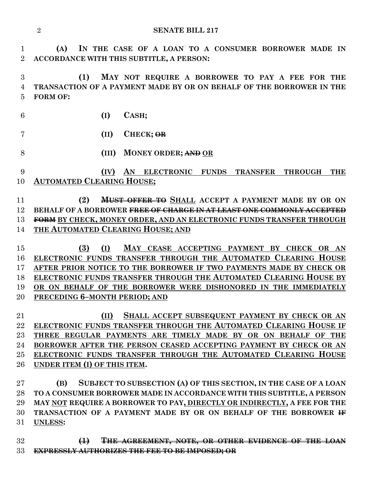**(A) IN THE CASE OF A LOAN TO A CONSUMER BORROWER MADE IN ACCORDANCE WITH THIS SUBTITLE, A PERSON:**

 **(1) MAY NOT REQUIRE A BORROWER TO PAY A FEE FOR THE TRANSACTION OF A PAYMENT MADE BY OR ON BEHALF OF THE BORROWER IN THE FORM OF:**

- **(I) CASH;**
- **(II) CHECK; OR**
- **(III) MONEY ORDER; AND OR**
- **(IV) AN ELECTRONIC FUNDS TRANSFER THROUGH THE AUTOMATED CLEARING HOUSE;**

 **(2) MUST OFFER TO SHALL ACCEPT A PAYMENT MADE BY OR ON BEHALF OF A BORROWER FREE OF CHARGE IN AT LEAST ONE COMMONLY ACCEPTED FORM BY CHECK, MONEY ORDER, AND AN ELECTRONIC FUNDS TRANSFER THROUGH THE AUTOMATED CLEARING HOUSE; AND**

 **(3) (I) MAY CEASE ACCEPTING PAYMENT BY CHECK OR AN ELECTRONIC FUNDS TRANSFER THROUGH THE AUTOMATED CLEARING HOUSE AFTER PRIOR NOTICE TO THE BORROWER IF TWO PAYMENTS MADE BY CHECK OR ELECTRONIC FUNDS TRANSFER THROUGH THE AUTOMATED CLEARING HOUSE BY OR ON BEHALF OF THE BORROWER WERE DISHONORED IN THE IMMEDIATELY PRECEDING 6–MONTH PERIOD; AND**

 **(II) SHALL ACCEPT SUBSEQUENT PAYMENT BY CHECK OR AN ELECTRONIC FUNDS TRANSFER THROUGH THE AUTOMATED CLEARING HOUSE IF THREE REGULAR PAYMENTS ARE TIMELY MADE BY OR ON BEHALF OF THE BORROWER AFTER THE PERSON CEASED ACCEPTING PAYMENT BY CHECK OR AN ELECTRONIC FUNDS TRANSFER THROUGH THE AUTOMATED CLEARING HOUSE UNDER ITEM (I) OF THIS ITEM.**

 **(B) SUBJECT TO SUBSECTION (A) OF THIS SECTION, IN THE CASE OF A LOAN TO A CONSUMER BORROWER MADE IN ACCORDANCE WITH THIS SUBTITLE, A PERSON MAY NOT REQUIRE A BORROWER TO PAY, DIRECTLY OR INDIRECTLY, A FEE FOR THE TRANSACTION OF A PAYMENT MADE BY OR ON BEHALF OF THE BORROWER IF UNLESS:**

 **(1) THE AGREEMENT, NOTE, OR OTHER EVIDENCE OF THE LOAN EXPRESSLY AUTHORIZES THE FEE TO BE IMPOSED; OR**

- 
-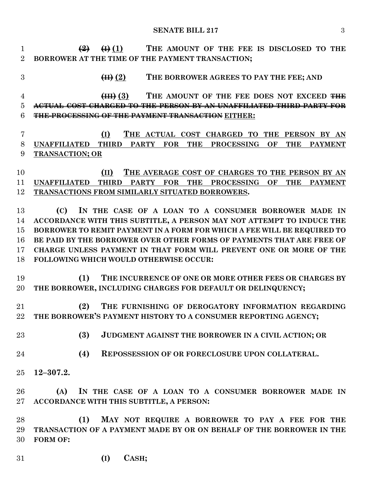**(2) (I) (1) THE AMOUNT OF THE FEE IS DISCLOSED TO THE BORROWER AT THE TIME OF THE PAYMENT TRANSACTION; (II) (2) THE BORROWER AGREES TO PAY THE FEE; AND (III) (3) THE AMOUNT OF THE FEE DOES NOT EXCEED THE ACTUAL COST CHARGED TO THE PERSON BY AN UNAFFILIATED THIRD PARTY FOR THE PROCESSING OF THE PAYMENT TRANSACTION EITHER: (I) THE ACTUAL COST CHARGED TO THE PERSON BY AN UNAFFILIATED THIRD PARTY FOR THE PROCESSING OF THE PAYMENT TRANSACTION; OR (II) THE AVERAGE COST OF CHARGES TO THE PERSON BY AN UNAFFILIATED THIRD PARTY FOR THE PROCESSING OF THE PAYMENT TRANSACTIONS FROM SIMILARLY SITUATED BORROWERS. (C) IN THE CASE OF A LOAN TO A CONSUMER BORROWER MADE IN ACCORDANCE WITH THIS SUBTITLE, A PERSON MAY NOT ATTEMPT TO INDUCE THE BORROWER TO REMIT PAYMENT IN A FORM FOR WHICH A FEE WILL BE REQUIRED TO BE PAID BY THE BORROWER OVER OTHER FORMS OF PAYMENTS THAT ARE FREE OF CHARGE UNLESS PAYMENT IN THAT FORM WILL PREVENT ONE OR MORE OF THE FOLLOWING WHICH WOULD OTHERWISE OCCUR: (1) THE INCURRENCE OF ONE OR MORE OTHER FEES OR CHARGES BY THE BORROWER, INCLUDING CHARGES FOR DEFAULT OR DELINQUENCY; (2) THE FURNISHING OF DEROGATORY INFORMATION REGARDING THE BORROWER'S PAYMENT HISTORY TO A CONSUMER REPORTING AGENCY; (3) JUDGMENT AGAINST THE BORROWER IN A CIVIL ACTION; OR (4) REPOSSESSION OF OR FORECLOSURE UPON COLLATERAL. 12–307.2. (A) IN THE CASE OF A LOAN TO A CONSUMER BORROWER MADE IN ACCORDANCE WITH THIS SUBTITLE, A PERSON: (1) MAY NOT REQUIRE A BORROWER TO PAY A FEE FOR THE TRANSACTION OF A PAYMENT MADE BY OR ON BEHALF OF THE BORROWER IN THE FORM OF: (I) CASH;**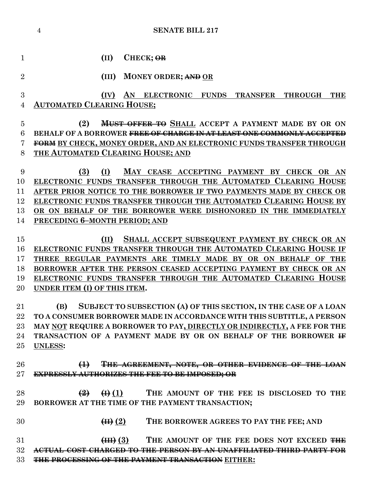- **(II) CHECK; OR**
- **(III) MONEY ORDER; AND OR**

# **(IV) AN ELECTRONIC FUNDS TRANSFER THROUGH THE AUTOMATED CLEARING HOUSE;**

# **(2) MUST OFFER TO SHALL ACCEPT A PAYMENT MADE BY OR ON BEHALF OF A BORROWER FREE OF CHARGE IN AT LEAST ONE COMMONLY ACCEPTED FORM BY CHECK, MONEY ORDER, AND AN ELECTRONIC FUNDS TRANSFER THROUGH THE AUTOMATED CLEARING HOUSE; AND**

 **(3) (I) MAY CEASE ACCEPTING PAYMENT BY CHECK OR AN ELECTRONIC FUNDS TRANSFER THROUGH THE AUTOMATED CLEARING HOUSE AFTER PRIOR NOTICE TO THE BORROWER IF TWO PAYMENTS MADE BY CHECK OR ELECTRONIC FUNDS TRANSFER THROUGH THE AUTOMATED CLEARING HOUSE BY OR ON BEHALF OF THE BORROWER WERE DISHONORED IN THE IMMEDIATELY PRECEDING 6–MONTH PERIOD; AND**

 **(II) SHALL ACCEPT SUBSEQUENT PAYMENT BY CHECK OR AN ELECTRONIC FUNDS TRANSFER THROUGH THE AUTOMATED CLEARING HOUSE IF THREE REGULAR PAYMENTS ARE TIMELY MADE BY OR ON BEHALF OF THE BORROWER AFTER THE PERSON CEASED ACCEPTING PAYMENT BY CHECK OR AN ELECTRONIC FUNDS TRANSFER THROUGH THE AUTOMATED CLEARING HOUSE UNDER ITEM (I) OF THIS ITEM.**

 **(B) SUBJECT TO SUBSECTION (A) OF THIS SECTION, IN THE CASE OF A LOAN TO A CONSUMER BORROWER MADE IN ACCORDANCE WITH THIS SUBTITLE, A PERSON MAY NOT REQUIRE A BORROWER TO PAY, DIRECTLY OR INDIRECTLY, A FEE FOR THE TRANSACTION OF A PAYMENT MADE BY OR ON BEHALF OF THE BORROWER IF UNLESS:**

- **(1) THE AGREEMENT, NOTE, OR OTHER EVIDENCE OF THE LOAN EXPRESSLY AUTHORIZES THE FEE TO BE IMPOSED; OR**
- **(2) (I) (1) THE AMOUNT OF THE FEE IS DISCLOSED TO THE BORROWER AT THE TIME OF THE PAYMENT TRANSACTION;**

| $\left( \boxplus \right)$ (2)<br>30 | THE BORROWER AGREES TO PAY THE FEE; AND |
|-------------------------------------|-----------------------------------------|
|-------------------------------------|-----------------------------------------|

 **(III) (3) THE AMOUNT OF THE FEE DOES NOT EXCEED THE ACTUAL COST CHARGED TO THE PERSON BY AN UNAFFILIATED THIRD PARTY FOR THE PROCESSING OF THE PAYMENT TRANSACTION EITHER:**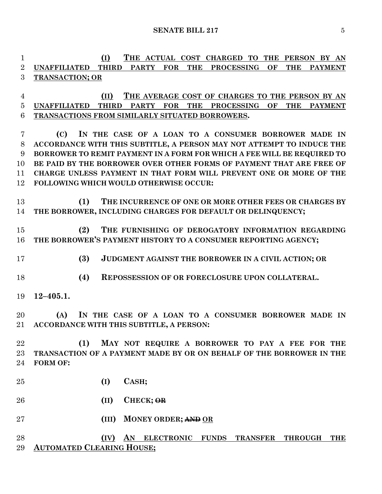**(I)** THE ACTUAL COST CHARGED TO THE PERSON BY AN **UNAFFILIATED THIRD PARTY FOR THE PROCESSING OF THE PAYMENT TRANSACTION; OR**

 **(II) THE AVERAGE COST OF CHARGES TO THE PERSON BY AN UNAFFILIATED THIRD PARTY FOR THE PROCESSING OF THE PAYMENT TRANSACTIONS FROM SIMILARLY SITUATED BORROWERS.**

 **(C) IN THE CASE OF A LOAN TO A CONSUMER BORROWER MADE IN ACCORDANCE WITH THIS SUBTITLE, A PERSON MAY NOT ATTEMPT TO INDUCE THE BORROWER TO REMIT PAYMENT IN A FORM FOR WHICH A FEE WILL BE REQUIRED TO BE PAID BY THE BORROWER OVER OTHER FORMS OF PAYMENT THAT ARE FREE OF CHARGE UNLESS PAYMENT IN THAT FORM WILL PREVENT ONE OR MORE OF THE FOLLOWING WHICH WOULD OTHERWISE OCCUR:**

 **(1) THE INCURRENCE OF ONE OR MORE OTHER FEES OR CHARGES BY THE BORROWER, INCLUDING CHARGES FOR DEFAULT OR DELINQUENCY;**

 **(2) THE FURNISHING OF DEROGATORY INFORMATION REGARDING THE BORROWER'S PAYMENT HISTORY TO A CONSUMER REPORTING AGENCY;**

**(3) JUDGMENT AGAINST THE BORROWER IN A CIVIL ACTION; OR**

**(4) REPOSSESSION OF OR FORECLOSURE UPON COLLATERAL.**

**12–405.1.**

 **(A) IN THE CASE OF A LOAN TO A CONSUMER BORROWER MADE IN ACCORDANCE WITH THIS SUBTITLE, A PERSON:**

 **(1) MAY NOT REQUIRE A BORROWER TO PAY A FEE FOR THE TRANSACTION OF A PAYMENT MADE BY OR ON BEHALF OF THE BORROWER IN THE FORM OF:**

- **(I) CASH;**
- **(II) CHECK; OR**
- **(III) MONEY ORDER; AND OR**
- **(IV) AN ELECTRONIC FUNDS TRANSFER THROUGH THE AUTOMATED CLEARING HOUSE;**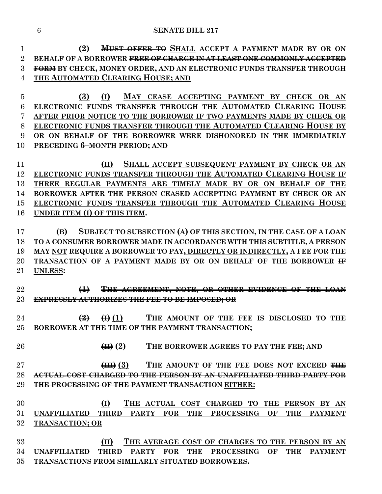**(2) MUST OFFER TO SHALL ACCEPT A PAYMENT MADE BY OR ON BEHALF OF A BORROWER FREE OF CHARGE IN AT LEAST ONE COMMONLY ACCEPTED FORM BY CHECK, MONEY ORDER, AND AN ELECTRONIC FUNDS TRANSFER THROUGH THE AUTOMATED CLEARING HOUSE; AND**

 **(3) (I) MAY CEASE ACCEPTING PAYMENT BY CHECK OR AN ELECTRONIC FUNDS TRANSFER THROUGH THE AUTOMATED CLEARING HOUSE AFTER PRIOR NOTICE TO THE BORROWER IF TWO PAYMENTS MADE BY CHECK OR ELECTRONIC FUNDS TRANSFER THROUGH THE AUTOMATED CLEARING HOUSE BY OR ON BEHALF OF THE BORROWER WERE DISHONORED IN THE IMMEDIATELY PRECEDING 6–MONTH PERIOD; AND**

 **(II) SHALL ACCEPT SUBSEQUENT PAYMENT BY CHECK OR AN ELECTRONIC FUNDS TRANSFER THROUGH THE AUTOMATED CLEARING HOUSE IF THREE REGULAR PAYMENTS ARE TIMELY MADE BY OR ON BEHALF OF THE BORROWER AFTER THE PERSON CEASED ACCEPTING PAYMENT BY CHECK OR AN ELECTRONIC FUNDS TRANSFER THROUGH THE AUTOMATED CLEARING HOUSE UNDER ITEM (I) OF THIS ITEM.**

 **(B) SUBJECT TO SUBSECTION (A) OF THIS SECTION, IN THE CASE OF A LOAN TO A CONSUMER BORROWER MADE IN ACCORDANCE WITH THIS SUBTITLE, A PERSON MAY NOT REQUIRE A BORROWER TO PAY, DIRECTLY OR INDIRECTLY, A FEE FOR THE TRANSACTION OF A PAYMENT MADE BY OR ON BEHALF OF THE BORROWER IF UNLESS:**

 **(1) THE AGREEMENT, NOTE, OR OTHER EVIDENCE OF THE LOAN EXPRESSLY AUTHORIZES THE FEE TO BE IMPOSED; OR**

 **(2) (I) (1) THE AMOUNT OF THE FEE IS DISCLOSED TO THE BORROWER AT THE TIME OF THE PAYMENT TRANSACTION;**

26 **(H)**  $(2)$  **THE BORROWER AGREES TO PAY THE FEE**; AND

# **(III)** (3) **THE AMOUNT OF THE FEE DOES NOT EXCEED THE ACTUAL COST CHARGED TO THE PERSON BY AN UNAFFILIATED THIRD PARTY FOR THE PROCESSING OF THE PAYMENT TRANSACTION EITHER:**

- **(I) THE ACTUAL COST CHARGED TO THE PERSON BY AN UNAFFILIATED THIRD PARTY FOR THE PROCESSING OF THE PAYMENT TRANSACTION; OR**
- **(II) THE AVERAGE COST OF CHARGES TO THE PERSON BY AN UNAFFILIATED THIRD PARTY FOR THE PROCESSING OF THE PAYMENT TRANSACTIONS FROM SIMILARLY SITUATED BORROWERS.**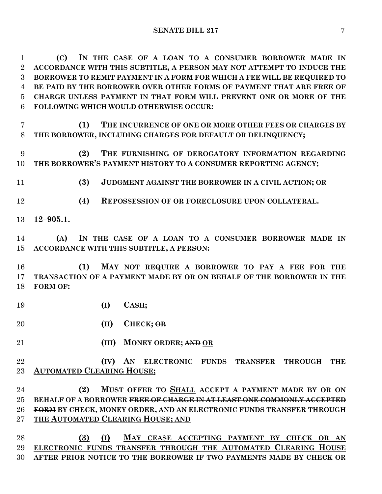**(C) IN THE CASE OF A LOAN TO A CONSUMER BORROWER MADE IN ACCORDANCE WITH THIS SUBTITLE, A PERSON MAY NOT ATTEMPT TO INDUCE THE BORROWER TO REMIT PAYMENT IN A FORM FOR WHICH A FEE WILL BE REQUIRED TO BE PAID BY THE BORROWER OVER OTHER FORMS OF PAYMENT THAT ARE FREE OF CHARGE UNLESS PAYMENT IN THAT FORM WILL PREVENT ONE OR MORE OF THE FOLLOWING WHICH WOULD OTHERWISE OCCUR:**

- **(1) THE INCURRENCE OF ONE OR MORE OTHER FEES OR CHARGES BY THE BORROWER, INCLUDING CHARGES FOR DEFAULT OR DELINQUENCY;**
- **(2) THE FURNISHING OF DEROGATORY INFORMATION REGARDING THE BORROWER'S PAYMENT HISTORY TO A CONSUMER REPORTING AGENCY;**
- 
- **(3) JUDGMENT AGAINST THE BORROWER IN A CIVIL ACTION; OR**
- **(4) REPOSSESSION OF OR FORECLOSURE UPON COLLATERAL.**
- **12–905.1.**

 **(A) IN THE CASE OF A LOAN TO A CONSUMER BORROWER MADE IN ACCORDANCE WITH THIS SUBTITLE, A PERSON:**

 **(1) MAY NOT REQUIRE A BORROWER TO PAY A FEE FOR THE TRANSACTION OF A PAYMENT MADE BY OR ON BEHALF OF THE BORROWER IN THE FORM OF:**

- **(I) CASH;**
- **(II) CHECK; OR**
- **(III) MONEY ORDER; AND OR**
- **(IV) AN ELECTRONIC FUNDS TRANSFER THROUGH THE AUTOMATED CLEARING HOUSE;**
- **(2) MUST OFFER TO SHALL ACCEPT A PAYMENT MADE BY OR ON BEHALF OF A BORROWER FREE OF CHARGE IN AT LEAST ONE COMMONLY ACCEPTED FORM BY CHECK, MONEY ORDER, AND AN ELECTRONIC FUNDS TRANSFER THROUGH THE AUTOMATED CLEARING HOUSE; AND**
- **(3) (I) MAY CEASE ACCEPTING PAYMENT BY CHECK OR AN ELECTRONIC FUNDS TRANSFER THROUGH THE AUTOMATED CLEARING HOUSE AFTER PRIOR NOTICE TO THE BORROWER IF TWO PAYMENTS MADE BY CHECK OR**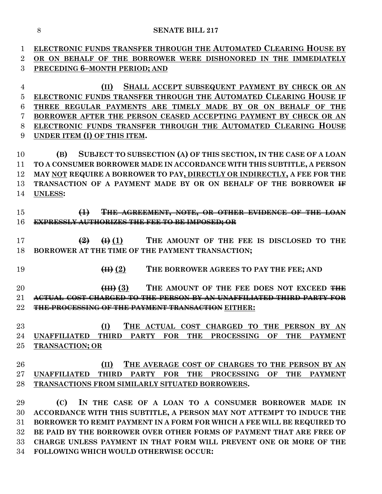**ELECTRONIC FUNDS TRANSFER THROUGH THE AUTOMATED CLEARING HOUSE BY OR ON BEHALF OF THE BORROWER WERE DISHONORED IN THE IMMEDIATELY** 

| 3  | PRECEDING 6-MONTH PERIOD; AND                                                                                             |
|----|---------------------------------------------------------------------------------------------------------------------------|
| 4  | SHALL ACCEPT SUBSEQUENT PAYMENT BY CHECK OR AN<br>(II)                                                                    |
| 5  | ELECTRONIC FUNDS TRANSFER THROUGH THE AUTOMATED CLEARING HOUSE IF                                                         |
| 6  | THREE REGULAR PAYMENTS ARE TIMELY MADE BY OR ON BEHALF OF THE                                                             |
| 7  | BORROWER AFTER THE PERSON CEASED ACCEPTING PAYMENT BY CHECK OR AN                                                         |
| 8  | ELECTRONIC FUNDS TRANSFER THROUGH THE AUTOMATED CLEARING HOUSE                                                            |
| 9  | UNDER ITEM (I) OF THIS ITEM.                                                                                              |
| 10 | SUBJECT TO SUBSECTION (A) OF THIS SECTION, IN THE CASE OF A LOAN<br>(B)                                                   |
| 11 | TO A CONSUMER BORROWER MADE IN ACCORDANCE WITH THIS SUBTITLE, A PERSON                                                    |
| 12 | MAY NOT REQUIRE A BORROWER TO PAY, DIRECTLY OR INDIRECTLY, A FEE FOR THE                                                  |
| 13 | TRANSACTION OF A PAYMENT MADE BY OR ON BEHALF OF THE BORROWER <del>IF</del>                                               |
| 14 | <b>UNLESS:</b>                                                                                                            |
|    |                                                                                                                           |
| 15 | THE AGREEMENT, NOTE, OR OTHER EVIDENCE OF THE LOAN<br>$\leftrightarrow$                                                   |
| 16 | <b>EXPRESSLY AUTHORIZES THE FEE TO BE IMPOSED; OR</b>                                                                     |
|    |                                                                                                                           |
| 17 | $\leftrightarrow$ (1) THE AMOUNT OF THE FEE IS DISCLOSED TO THE<br>$\left( \frac{9}{2} \right)$                           |
| 18 | BORROWER AT THE TIME OF THE PAYMENT TRANSACTION;                                                                          |
|    |                                                                                                                           |
| 19 | THE BORROWER AGREES TO PAY THE FEE; AND<br>$\left( \boxplus \right)$ $\left( 2\right)$                                    |
|    |                                                                                                                           |
| 20 | THE AMOUNT OF THE FEE DOES NOT EXCEED THE<br>$\left(\boxplus\right)$ (3)                                                  |
| 21 | ACTUAL COST CHARGED TO THE PERSON BY AN UNAFFILIATED THIRD PARTY FOR                                                      |
| 22 | <b>THE-PROCESSING OF THE PAYMENT TRANSACTION</b> EITHER:                                                                  |
| 23 | (I)<br>THE ACTUAL COST CHARGED TO<br>THE PERSON<br>BY<br>AN                                                               |
| 24 | <b>THIRD</b><br><b>PROCESSING</b><br>PARTY FOR<br><b>THE</b><br>OF<br><b>THE</b><br><b>UNAFFILIATED</b><br><b>PAYMENT</b> |
| 25 | <b>TRANSACTION; OR</b>                                                                                                    |
|    |                                                                                                                           |
| 26 | (II)<br>THE AVERAGE COST OF CHARGES TO THE PERSON BY AN                                                                   |
| 27 | UNAFFILIATED THIRD PARTY FOR THE PROCESSING OF<br><b>THE</b><br><b>PAYMENT</b>                                            |
| 28 | TRANSACTIONS FROM SIMILARLY SITUATED BORROWERS.                                                                           |
|    |                                                                                                                           |
| 29 | IN THE CASE OF A LOAN TO A CONSUMER BORROWER MADE IN<br>(C)                                                               |
| 30 | ACCORDANCE WITH THIS SUBTITLE, A PERSON MAY NOT ATTEMPT TO INDUCE THE                                                     |
| 31 | BORROWER TO REMIT PAYMENT IN A FORM FOR WHICH A FEE WILL BE REQUIRED TO                                                   |
|    |                                                                                                                           |

 **BE PAID BY THE BORROWER OVER OTHER FORMS OF PAYMENT THAT ARE FREE OF CHARGE UNLESS PAYMENT IN THAT FORM WILL PREVENT ONE OR MORE OF THE FOLLOWING WHICH WOULD OTHERWISE OCCUR:**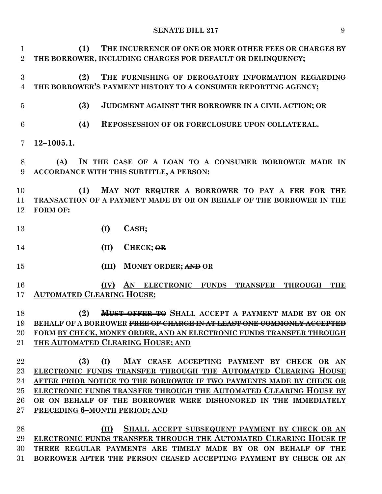| $\mathbf 1$    | THE INCURRENCE OF ONE OR MORE OTHER FEES OR CHARGES BY<br>(1)                                                         |
|----------------|-----------------------------------------------------------------------------------------------------------------------|
| $\overline{2}$ | THE BORROWER, INCLUDING CHARGES FOR DEFAULT OR DELINQUENCY;                                                           |
| 3              | THE FURNISHING OF DEROGATORY INFORMATION REGARDING<br>(2)                                                             |
| $\overline{4}$ | THE BORROWER'S PAYMENT HISTORY TO A CONSUMER REPORTING AGENCY;                                                        |
|                |                                                                                                                       |
| $\overline{5}$ | (3)<br>JUDGMENT AGAINST THE BORROWER IN A CIVIL ACTION; OR                                                            |
| 6              | (4)<br><b>REPOSSESSION OF OR FORECLOSURE UPON COLLATERAL.</b>                                                         |
| $\overline{7}$ | $12 - 1005.1.$                                                                                                        |
| 8<br>9         | (A)<br>IN THE CASE OF A LOAN TO A CONSUMER BORROWER MADE IN<br>ACCORDANCE WITH THIS SUBTITLE, A PERSON:               |
| 10             | MAY NOT REQUIRE A BORROWER TO PAY A FEE FOR THE<br>(1)                                                                |
| 11             | TRANSACTION OF A PAYMENT MADE BY OR ON BEHALF OF THE BORROWER IN THE                                                  |
| 12             | <b>FORM OF:</b>                                                                                                       |
| 13             | CASH;<br>(I)                                                                                                          |
| 14             | CHECK; <del>OR</del><br>(II)                                                                                          |
| 15             | (III)<br>MONEY ORDER; AND OR                                                                                          |
| 16             | (IV) AN ELECTRONIC FUNDS<br><b>TRANSFER</b><br><b>THROUGH</b><br><b>THE</b>                                           |
| 17             | <b>AUTOMATED CLEARING HOUSE;</b>                                                                                      |
|                |                                                                                                                       |
| 18             | <b>MUST OFFER TO SHALL ACCEPT A PAYMENT MADE BY OR ON</b><br>(2)                                                      |
|                | 19 BEHALF OF A BORROWER FREE OF CHARGE IN AT LEAST ONE COMMONLY ACCEPTED                                              |
| 20             | <b>FORM BY CHECK, MONEY ORDER, AND AN ELECTRONIC FUNDS TRANSFER THROUGH</b>                                           |
| 21             | THE AUTOMATED CLEARING HOUSE; AND                                                                                     |
| 22             | (I)<br>MAY CEASE ACCEPTING PAYMENT BY CHECK OR AN<br>(3)                                                              |
| 23             | ELECTRONIC FUNDS TRANSFER THROUGH THE AUTOMATED CLEARING HOUSE                                                        |
| 24             | AFTER PRIOR NOTICE TO THE BORROWER IF TWO PAYMENTS MADE BY CHECK OR                                                   |
| $25\,$         | ELECTRONIC FUNDS TRANSFER THROUGH THE AUTOMATED CLEARING HOUSE BY                                                     |
| 26             | OR ON BEHALF OF THE BORROWER WERE DISHONORED IN THE IMMEDIATELY                                                       |
| $\rm 27$       | PRECEDING 6-MONTH PERIOD; AND                                                                                         |
|                |                                                                                                                       |
| 28<br>ററ       | (II)<br>SHALL ACCEPT SUBSEQUENT PAYMENT BY CHECK OR AN<br>$\pi$ uno mp $\lambda$ nonin<br>AUTOMATED CLEADING HOUGH IB |

 **ELECTRONIC FUNDS TRANSFER THROUGH THE AUTOMATED CLEARING HOUSE IF THREE REGULAR PAYMENTS ARE TIMELY MADE BY OR ON BEHALF OF THE BORROWER AFTER THE PERSON CEASED ACCEPTING PAYMENT BY CHECK OR AN**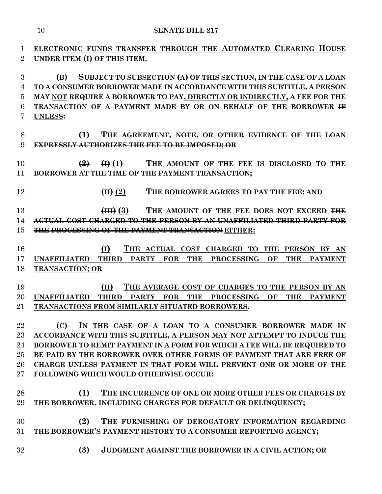# **ELECTRONIC FUNDS TRANSFER THROUGH THE AUTOMATED CLEARING HOUSE UNDER ITEM (I) OF THIS ITEM.**

 **(B) SUBJECT TO SUBSECTION (A) OF THIS SECTION, IN THE CASE OF A LOAN TO A CONSUMER BORROWER MADE IN ACCORDANCE WITH THIS SUBTITLE, A PERSON MAY NOT REQUIRE A BORROWER TO PAY, DIRECTLY OR INDIRECTLY, A FEE FOR THE TRANSACTION OF A PAYMENT MADE BY OR ON BEHALF OF THE BORROWER IF UNLESS:**

## **(1) THE AGREEMENT, NOTE, OR OTHER EVIDENCE OF THE LOAN EXPRESSLY AUTHORIZES THE FEE TO BE IMPOSED; OR**

**(2) (i) (1) THE AMOUNT OF THE FEE IS DISCLOSED TO THE BORROWER AT THE TIME OF THE PAYMENT TRANSACTION;**

- 
- 12 **(H)**  $(2)$  **THE BORROWER AGREES TO PAY THE FEE**; AND

# **(III)** (3) **THE AMOUNT OF THE FEE DOES NOT EXCEED THE ACTUAL COST CHARGED TO THE PERSON BY AN UNAFFILIATED THIRD PARTY FOR THE PROCESSING OF THE PAYMENT TRANSACTION EITHER:**

**(I) THE ACTUAL COST CHARGED TO THE PERSON BY AN UNAFFILIATED THIRD PARTY FOR THE PROCESSING OF THE PAYMENT TRANSACTION; OR**

 **(II) THE AVERAGE COST OF CHARGES TO THE PERSON BY AN UNAFFILIATED THIRD PARTY FOR THE PROCESSING OF THE PAYMENT TRANSACTIONS FROM SIMILARLY SITUATED BORROWERS.**

 **(C) IN THE CASE OF A LOAN TO A CONSUMER BORROWER MADE IN ACCORDANCE WITH THIS SUBTITLE, A PERSON MAY NOT ATTEMPT TO INDUCE THE BORROWER TO REMIT PAYMENT IN A FORM FOR WHICH A FEE WILL BE REQUIRED TO BE PAID BY THE BORROWER OVER OTHER FORMS OF PAYMENT THAT ARE FREE OF CHARGE UNLESS PAYMENT IN THAT FORM WILL PREVENT ONE OR MORE OF THE FOLLOWING WHICH WOULD OTHERWISE OCCUR:**

 **(1) THE INCURRENCE OF ONE OR MORE OTHER FEES OR CHARGES BY THE BORROWER, INCLUDING CHARGES FOR DEFAULT OR DELINQUENCY;**

 **(2) THE FURNISHING OF DEROGATORY INFORMATION REGARDING THE BORROWER'S PAYMENT HISTORY TO A CONSUMER REPORTING AGENCY;**

- 
- **(3) JUDGMENT AGAINST THE BORROWER IN A CIVIL ACTION; OR**